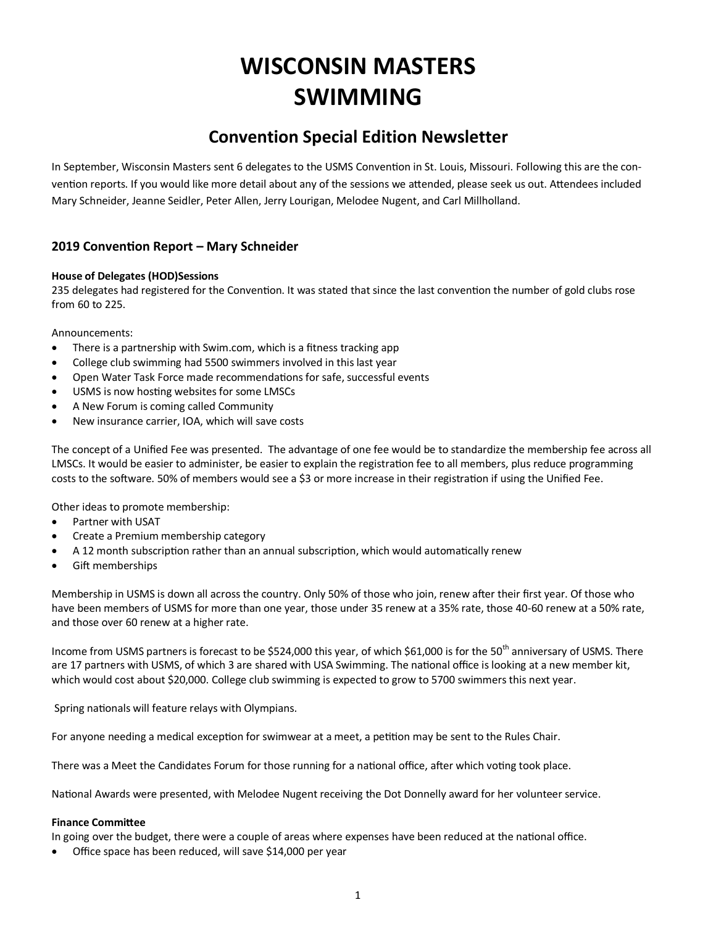# **WISCONSIN MASTERS SWIMMING**

# **Convention Special Edition Newsletter**

In September, Wisconsin Masters sent 6 delegates to the USMS Convention in St. Louis, Missouri. Following this are the convention reports. If you would like more detail about any of the sessions we attended, please seek us out. Attendees included Mary Schneider, Jeanne Seidler, Peter Allen, Jerry Lourigan, Melodee Nugent, and Carl Millholland.

# **2019 Convention Report – Mary Schneider**

#### **House of Delegates (HOD)Sessions**

235 delegates had registered for the Convention. It was stated that since the last convention the number of gold clubs rose from 60 to 225.

Announcements:

- There is a partnership with Swim.com, which is a fitness tracking app
- College club swimming had 5500 swimmers involved in this last year
- Open Water Task Force made recommendations for safe, successful events
- USMS is now hosting websites for some LMSCs
- A New Forum is coming called Community
- New insurance carrier, IOA, which will save costs

The concept of a Unified Fee was presented. The advantage of one fee would be to standardize the membership fee across all LMSCs. It would be easier to administer, be easier to explain the registration fee to all members, plus reduce programming costs to the software. 50% of members would see a \$3 or more increase in their registration if using the Unified Fee.

Other ideas to promote membership:

- Partner with USAT
- Create a Premium membership category
- A 12 month subscription rather than an annual subscription, which would automatically renew
- Gift memberships

Membership in USMS is down all across the country. Only 50% of those who join, renew after their first year. Of those who have been members of USMS for more than one year, those under 35 renew at a 35% rate, those 40-60 renew at a 50% rate, and those over 60 renew at a higher rate.

Income from USMS partners is forecast to be \$524,000 this year, of which \$61,000 is for the 50<sup>th</sup> anniversary of USMS. There are 17 partners with USMS, of which 3 are shared with USA Swimming. The national office is looking at a new member kit, which would cost about \$20,000. College club swimming is expected to grow to 5700 swimmers this next year.

Spring nationals will feature relays with Olympians.

For anyone needing a medical exception for swimwear at a meet, a petition may be sent to the Rules Chair.

There was a Meet the Candidates Forum for those running for a national office, after which voting took place.

National Awards were presented, with Melodee Nugent receiving the Dot Donnelly award for her volunteer service.

#### **Finance Committee**

In going over the budget, there were a couple of areas where expenses have been reduced at the national office.

Office space has been reduced, will save \$14,000 per year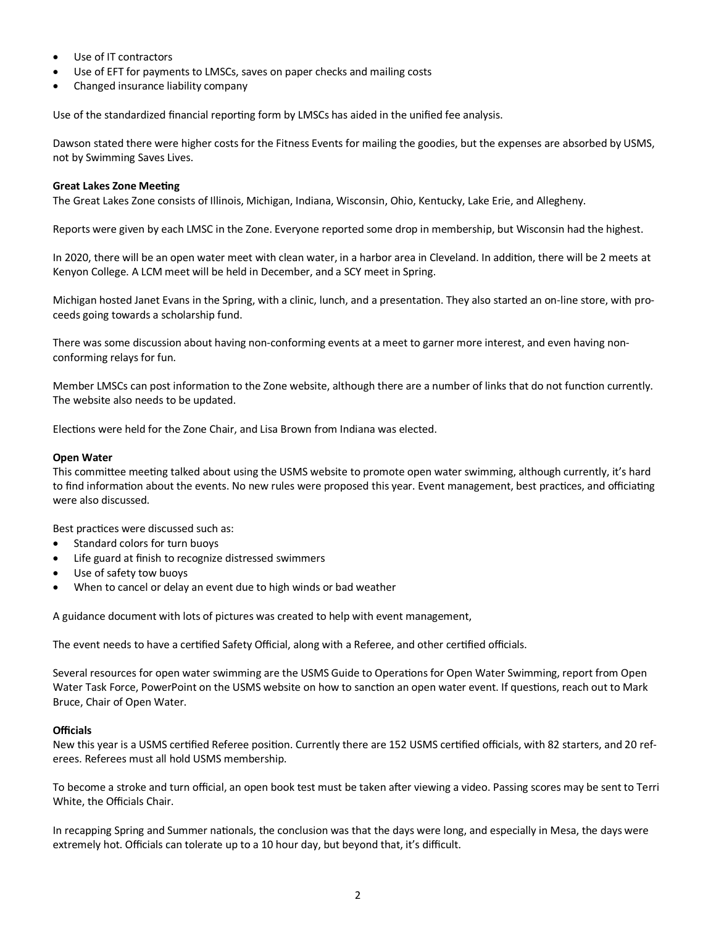- Use of IT contractors
- Use of EFT for payments to LMSCs, saves on paper checks and mailing costs
- Changed insurance liability company

Use of the standardized financial reporting form by LMSCs has aided in the unified fee analysis.

Dawson stated there were higher costs for the Fitness Events for mailing the goodies, but the expenses are absorbed by USMS, not by Swimming Saves Lives.

#### **Great Lakes Zone Meeting**

The Great Lakes Zone consists of Illinois, Michigan, Indiana, Wisconsin, Ohio, Kentucky, Lake Erie, and Allegheny.

Reports were given by each LMSC in the Zone. Everyone reported some drop in membership, but Wisconsin had the highest.

In 2020, there will be an open water meet with clean water, in a harbor area in Cleveland. In addition, there will be 2 meets at Kenyon College. A LCM meet will be held in December, and a SCY meet in Spring.

Michigan hosted Janet Evans in the Spring, with a clinic, lunch, and a presentation. They also started an on-line store, with proceeds going towards a scholarship fund.

There was some discussion about having non-conforming events at a meet to garner more interest, and even having nonconforming relays for fun.

Member LMSCs can post information to the Zone website, although there are a number of links that do not function currently. The website also needs to be updated.

Elections were held for the Zone Chair, and Lisa Brown from Indiana was elected.

#### **Open Water**

This committee meeting talked about using the USMS website to promote open water swimming, although currently, it's hard to find information about the events. No new rules were proposed this year. Event management, best practices, and officiating were also discussed.

Best practices were discussed such as:

- Standard colors for turn buoys
- Life guard at finish to recognize distressed swimmers
- Use of safety tow buoys
- When to cancel or delay an event due to high winds or bad weather

A guidance document with lots of pictures was created to help with event management,

The event needs to have a certified Safety Official, along with a Referee, and other certified officials.

Several resources for open water swimming are the USMS Guide to Operations for Open Water Swimming, report from Open Water Task Force, PowerPoint on the USMS website on how to sanction an open water event. If questions, reach out to Mark Bruce, Chair of Open Water.

#### **Officials**

New this year is a USMS certified Referee position. Currently there are 152 USMS certified officials, with 82 starters, and 20 referees. Referees must all hold USMS membership.

To become a stroke and turn official, an open book test must be taken after viewing a video. Passing scores may be sent to Terri White, the Officials Chair.

In recapping Spring and Summer nationals, the conclusion was that the days were long, and especially in Mesa, the days were extremely hot. Officials can tolerate up to a 10 hour day, but beyond that, it's difficult.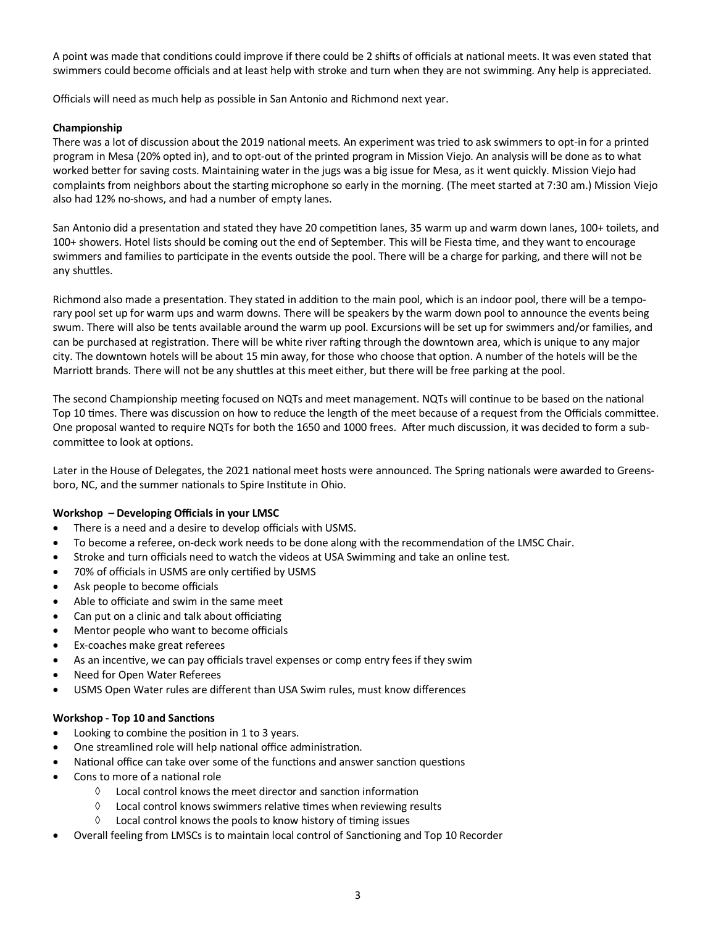A point was made that conditions could improve if there could be 2 shifts of officials at national meets. It was even stated that swimmers could become officials and at least help with stroke and turn when they are not swimming. Any help is appreciated.

Officials will need as much help as possible in San Antonio and Richmond next year.

#### **Championship**

There was a lot of discussion about the 2019 national meets. An experiment was tried to ask swimmers to opt-in for a printed program in Mesa (20% opted in), and to opt-out of the printed program in Mission Viejo. An analysis will be done as to what worked better for saving costs. Maintaining water in the jugs was a big issue for Mesa, as it went quickly. Mission Viejo had complaints from neighbors about the starting microphone so early in the morning. (The meet started at 7:30 am.) Mission Viejo also had 12% no-shows, and had a number of empty lanes.

San Antonio did a presentation and stated they have 20 competition lanes, 35 warm up and warm down lanes, 100+ toilets, and 100+ showers. Hotel lists should be coming out the end of September. This will be Fiesta time, and they want to encourage swimmers and families to participate in the events outside the pool. There will be a charge for parking, and there will not be any shuttles.

Richmond also made a presentation. They stated in addition to the main pool, which is an indoor pool, there will be a temporary pool set up for warm ups and warm downs. There will be speakers by the warm down pool to announce the events being swum. There will also be tents available around the warm up pool. Excursions will be set up for swimmers and/or families, and can be purchased at registration. There will be white river rafting through the downtown area, which is unique to any major city. The downtown hotels will be about 15 min away, for those who choose that option. A number of the hotels will be the Marriott brands. There will not be any shuttles at this meet either, but there will be free parking at the pool.

The second Championship meeting focused on NQTs and meet management. NQTs will continue to be based on the national Top 10 times. There was discussion on how to reduce the length of the meet because of a request from the Officials committee. One proposal wanted to require NQTs for both the 1650 and 1000 frees. After much discussion, it was decided to form a subcommittee to look at options.

Later in the House of Delegates, the 2021 national meet hosts were announced. The Spring nationals were awarded to Greensboro, NC, and the summer nationals to Spire Institute in Ohio.

#### **Workshop – Developing Officials in your LMSC**

- There is a need and a desire to develop officials with USMS.
- To become a referee, on-deck work needs to be done along with the recommendation of the LMSC Chair.
- Stroke and turn officials need to watch the videos at USA Swimming and take an online test.
- 70% of officials in USMS are only certified by USMS
- Ask people to become officials
- Able to officiate and swim in the same meet
- Can put on a clinic and talk about officiating
- Mentor people who want to become officials
- Ex-coaches make great referees
- As an incentive, we can pay officials travel expenses or comp entry fees if they swim
- Need for Open Water Referees
- USMS Open Water rules are different than USA Swim rules, must know differences

#### **Workshop - Top 10 and Sanctions**

- Looking to combine the position in 1 to 3 years.
- One streamlined role will help national office administration.
- National office can take over some of the functions and answer sanction questions
- Cons to more of a national role
	- $\Diamond$  Local control knows the meet director and sanction information
	- $\Diamond$  Local control knows swimmers relative times when reviewing results
	- $\Diamond$  Local control knows the pools to know history of timing issues
- Overall feeling from LMSCs is to maintain local control of Sanctioning and Top 10 Recorder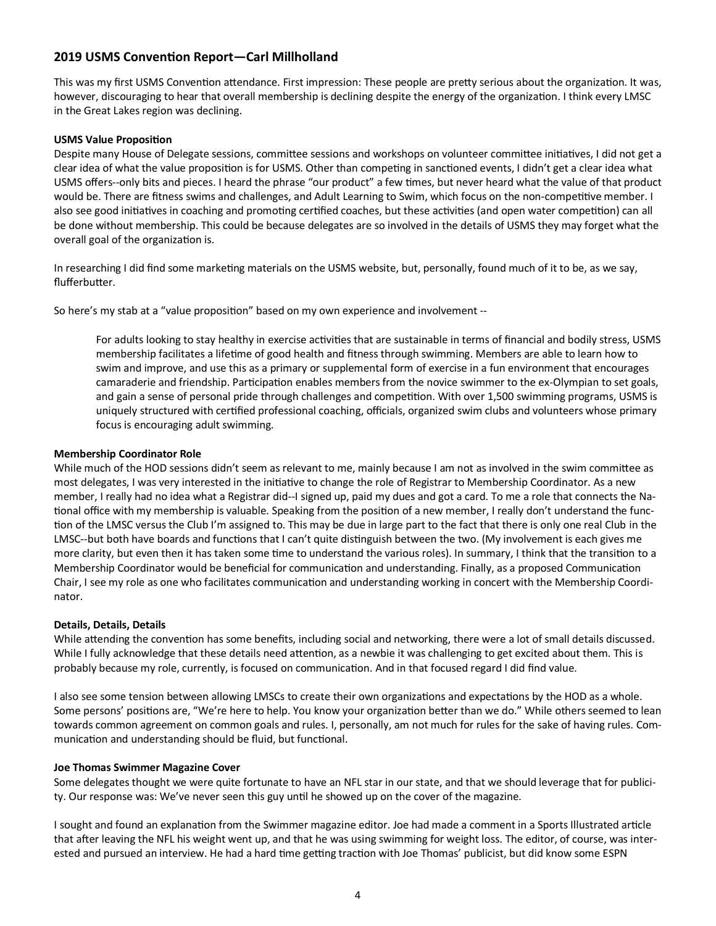# **2019 USMS Convention Report—Carl Millholland**

This was my first USMS Convention attendance. First impression: These people are pretty serious about the organization. It was, however, discouraging to hear that overall membership is declining despite the energy of the organization. I think every LMSC in the Great Lakes region was declining.

#### **USMS Value Proposition**

Despite many House of Delegate sessions, committee sessions and workshops on volunteer committee initiatives, I did not get a clear idea of what the value proposition is for USMS. Other than competing in sanctioned events, I didn't get a clear idea what USMS offers--only bits and pieces. I heard the phrase "our product" a few times, but never heard what the value of that product would be. There are fitness swims and challenges, and Adult Learning to Swim, which focus on the non-competitive member. I also see good initiatives in coaching and promoting certified coaches, but these activities (and open water competition) can all be done without membership. This could be because delegates are so involved in the details of USMS they may forget what the overall goal of the organization is.

In researching I did find some marketing materials on the USMS website, but, personally, found much of it to be, as we say, flufferbutter.

So here's my stab at a "value proposition" based on my own experience and involvement --

For adults looking to stay healthy in exercise activities that are sustainable in terms of financial and bodily stress, USMS membership facilitates a lifetime of good health and fitness through swimming. Members are able to learn how to swim and improve, and use this as a primary or supplemental form of exercise in a fun environment that encourages camaraderie and friendship. Participation enables members from the novice swimmer to the ex-Olympian to set goals, and gain a sense of personal pride through challenges and competition. With over 1,500 swimming programs, USMS is uniquely structured with certified professional coaching, officials, organized swim clubs and volunteers whose primary focus is encouraging adult swimming.

#### **Membership Coordinator Role**

While much of the HOD sessions didn't seem as relevant to me, mainly because I am not as involved in the swim committee as most delegates, I was very interested in the initiative to change the role of Registrar to Membership Coordinator. As a new member, I really had no idea what a Registrar did--I signed up, paid my dues and got a card. To me a role that connects the National office with my membership is valuable. Speaking from the position of a new member, I really don't understand the function of the LMSC versus the Club I'm assigned to. This may be due in large part to the fact that there is only one real Club in the LMSC--but both have boards and functions that I can't quite distinguish between the two. (My involvement is each gives me more clarity, but even then it has taken some time to understand the various roles). In summary, I think that the transition to a Membership Coordinator would be beneficial for communication and understanding. Finally, as a proposed Communication Chair, I see my role as one who facilitates communication and understanding working in concert with the Membership Coordinator.

#### **Details, Details, Details**

While attending the convention has some benefits, including social and networking, there were a lot of small details discussed. While I fully acknowledge that these details need attention, as a newbie it was challenging to get excited about them. This is probably because my role, currently, is focused on communication. And in that focused regard I did find value.

I also see some tension between allowing LMSCs to create their own organizations and expectations by the HOD as a whole. Some persons' positions are, "We're here to help. You know your organization better than we do." While others seemed to lean towards common agreement on common goals and rules. I, personally, am not much for rules for the sake of having rules. Communication and understanding should be fluid, but functional.

#### **Joe Thomas Swimmer Magazine Cover**

Some delegates thought we were quite fortunate to have an NFL star in our state, and that we should leverage that for publicity. Our response was: We've never seen this guy until he showed up on the cover of the magazine.

I sought and found an explanation from the Swimmer magazine editor. Joe had made a comment in a Sports Illustrated article that after leaving the NFL his weight went up, and that he was using swimming for weight loss. The editor, of course, was interested and pursued an interview. He had a hard time getting traction with Joe Thomas' publicist, but did know some ESPN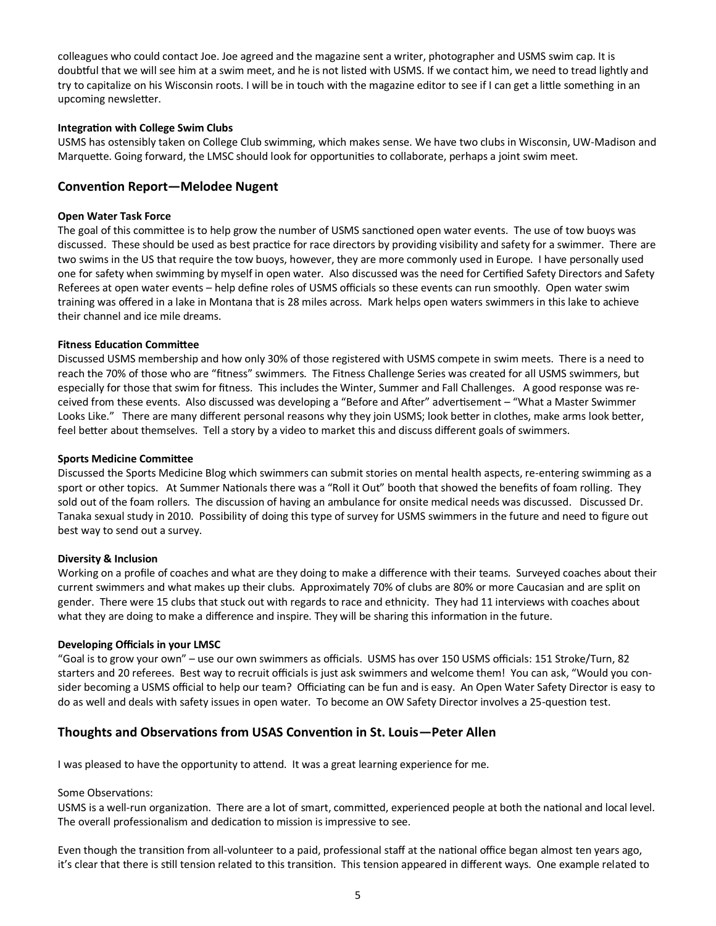colleagues who could contact Joe. Joe agreed and the magazine sent a writer, photographer and USMS swim cap. It is doubtful that we will see him at a swim meet, and he is not listed with USMS. If we contact him, we need to tread lightly and try to capitalize on his Wisconsin roots. I will be in touch with the magazine editor to see if I can get a little something in an upcoming newsletter.

#### **Integration with College Swim Clubs**

USMS has ostensibly taken on College Club swimming, which makes sense. We have two clubs in Wisconsin, UW-Madison and Marquette. Going forward, the LMSC should look for opportunities to collaborate, perhaps a joint swim meet.

### **Convention Report—Melodee Nugent**

#### **Open Water Task Force**

The goal of this committee is to help grow the number of USMS sanctioned open water events. The use of tow buoys was discussed. These should be used as best practice for race directors by providing visibility and safety for a swimmer. There are two swims in the US that require the tow buoys, however, they are more commonly used in Europe. I have personally used one for safety when swimming by myself in open water. Also discussed was the need for Certified Safety Directors and Safety Referees at open water events – help define roles of USMS officials so these events can run smoothly. Open water swim training was offered in a lake in Montana that is 28 miles across. Mark helps open waters swimmers in this lake to achieve their channel and ice mile dreams.

#### **Fitness Education Committee**

Discussed USMS membership and how only 30% of those registered with USMS compete in swim meets. There is a need to reach the 70% of those who are "fitness" swimmers. The Fitness Challenge Series was created for all USMS swimmers, but especially for those that swim for fitness. This includes the Winter, Summer and Fall Challenges. A good response was received from these events. Also discussed was developing a "Before and After" advertisement – "What a Master Swimmer Looks Like." There are many different personal reasons why they join USMS; look better in clothes, make arms look better, feel better about themselves. Tell a story by a video to market this and discuss different goals of swimmers.

#### **Sports Medicine Committee**

Discussed the Sports Medicine Blog which swimmers can submit stories on mental health aspects, re-entering swimming as a sport or other topics. At Summer Nationals there was a "Roll it Out" booth that showed the benefits of foam rolling. They sold out of the foam rollers. The discussion of having an ambulance for onsite medical needs was discussed. Discussed Dr. Tanaka sexual study in 2010. Possibility of doing this type of survey for USMS swimmers in the future and need to figure out best way to send out a survey.

#### **Diversity & Inclusion**

Working on a profile of coaches and what are they doing to make a difference with their teams. Surveyed coaches about their current swimmers and what makes up their clubs. Approximately 70% of clubs are 80% or more Caucasian and are split on gender. There were 15 clubs that stuck out with regards to race and ethnicity. They had 11 interviews with coaches about what they are doing to make a difference and inspire. They will be sharing this information in the future.

#### **Developing Officials in your LMSC**

"Goal is to grow your own" – use our own swimmers as officials. USMS has over 150 USMS officials: 151 Stroke/Turn, 82 starters and 20 referees. Best way to recruit officials is just ask swimmers and welcome them! You can ask, "Would you consider becoming a USMS official to help our team? Officiating can be fun and is easy. An Open Water Safety Director is easy to do as well and deals with safety issues in open water. To become an OW Safety Director involves a 25-question test.

## **Thoughts and Observations from USAS Convention in St. Louis—Peter Allen**

I was pleased to have the opportunity to attend. It was a great learning experience for me.

#### Some Observations:

USMS is a well-run organization. There are a lot of smart, committed, experienced people at both the national and local level. The overall professionalism and dedication to mission is impressive to see.

Even though the transition from all-volunteer to a paid, professional staff at the national office began almost ten years ago, it's clear that there is still tension related to this transition. This tension appeared in different ways. One example related to